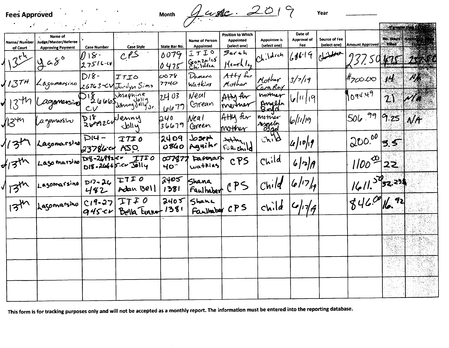**Fees Approved** 

ť

month Juste 2019

Year

.<br>The State of Automotive and Automotive Automatic

|                         |                                                             |                                     |                                      |                           |                                           |                                                       |                                     |                               |                                      |                            |               | <b>C</b> RETTER THE THE |
|-------------------------|-------------------------------------------------------------|-------------------------------------|--------------------------------------|---------------------------|-------------------------------------------|-------------------------------------------------------|-------------------------------------|-------------------------------|--------------------------------------|----------------------------|---------------|-------------------------|
| Name/Number<br>of Court | Name of<br>Judge/Master/Referee<br><b>Approving Payment</b> | <b>Case Number</b>                  | <b>Case Style</b>                    | State Bar No.             | <b>Name of Person</b><br><b>Appointed</b> | Position to Which<br><b>Appointed</b><br>(select one) | <b>Appointee is</b><br>(select one) | Date of<br>Approval of<br>Fee | <b>Source of Fee</b><br>(select one) | <b>Amount Approved</b>     | <b>Billed</b> | No. Hours   Antes       |
|                         | $4a8^{\circ}$                                               | $18 -$<br>27516-41                  | CPS                                  | 0079<br>0475              | エナエロ<br>Gonzales                          | Sarah<br>Heartles                                     | $Ch.\backslash d$ <i>ich</i>        | 161619                        | المعملهناج                           |                            |               |                         |
| 137H                    | Lagomarsino                                                 | $D18 -$                             | ITIO<br>$26763$ $\sim$ V Jordyn Sims | 0078<br>7740              | Damara<br>$Wa+k'as$                       | $Atty$ for<br>Mother                                  | Mother<br><u>Gra Ray</u>            | 3/7/19                        |                                      | $#_{7}C^{\circ}.C^{\circ}$ | H             | W.                      |
|                         | 2010mensiver                                                |                                     | DISCOCO Summy Jolly Jr.              | 2403<br>66791             | Neal<br>Grean                             | AHM Ar<br>mortner                                     | mother<br>Angela<br>Bord            | $ v $ <sup>11</sup>           |                                      | 1094.49                    | $\mathbf{Z}$  |                         |
| $^{\prime\prime}$       | agamarsiv                                                   | 719<br>Simerallenny                 | Joliy                                | 240<br>36679              | Nea l<br>Green                            | AHU fer<br>mother                                     | mother<br>angeles                   | $ b  $ 1/19                   |                                      | 99<br>$506$ .              | 9.25          | $N$ A                   |
|                         | Lasomarsino                                                 | $\overline{D}$ 14 -<br>23786cd ASO. | TTID                                 | 2409<br>0840              | بالمجرط<br>Aguilar                        | FUR Child                                             |                                     | $ u $ 10/19                   |                                      | 300.00                     | 55            |                         |
| $\cdot$ zth             | Lago marsino                                                | Dv8-26992-Cr                        | <b>ITIO</b><br>D18-26665.00 Jolly    | 007877<br>40 <sup>o</sup> | parmark<br>watking                        | CPS                                                   | Child                               | 6 7 8                         |                                      | $1100^{00}$                | 22            |                         |
| 73 <sup>th</sup>        | Lasomarsino                                                 | $D17 - 26$<br>482                   | ITI O<br>Adan Bell                   | 2405<br>1381              | Shana<br>Faulhaber                        | CP5                                                   | Child                               | 6/7/9                         |                                      | 1611.5932.23               |               |                         |
| 134                     | Lasomarsino                                                 | $C19 - 27$<br>$945c\nu$             | TIFO<br>Beila Eurnot                 | 2405<br>1381              | Shane<br>Faultaber CPS                    |                                                       | child                               | 6/7                           |                                      | 346.00                     |               |                         |
|                         |                                                             |                                     |                                      |                           |                                           |                                                       |                                     |                               |                                      |                            |               |                         |
|                         |                                                             |                                     |                                      |                           |                                           |                                                       |                                     |                               |                                      |                            | 88.43<br>그 장도 |                         |
|                         |                                                             |                                     |                                      |                           |                                           |                                                       |                                     |                               |                                      |                            |               |                         |
|                         |                                                             |                                     |                                      |                           |                                           |                                                       |                                     |                               |                                      |                            |               |                         |

This form is for tracking purposes only and will not be accepted as a monthly report. The information must be entered into the reporting database.